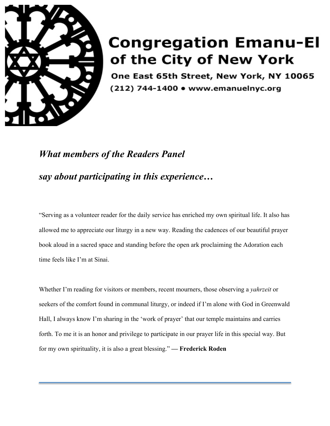

## **Congregation Emanu-El** of the City of New York

One East 65th Street, New York, NY 10065 (212) 744-1400 • www.emanuelnyc.org

## *What members of the Readers Panel say about participating in this experience…*

"Serving as a volunteer reader for the daily service has enriched my own spiritual life. It also has allowed me to appreciate our liturgy in a new way. Reading the cadences of our beautiful prayer book aloud in a sacred space and standing before the open ark proclaiming the Adoration each time feels like I'm at Sinai.

Whether I'm reading for visitors or members, recent mourners, those observing a *yahrzeit* or seekers of the comfort found in communal liturgy, or indeed if I'm alone with God in Greenwald Hall, I always know I'm sharing in the 'work of prayer' that our temple maintains and carries forth. To me it is an honor and privilege to participate in our prayer life in this special way. But for my own spirituality, it is also a great blessing." **— Frederick Roden**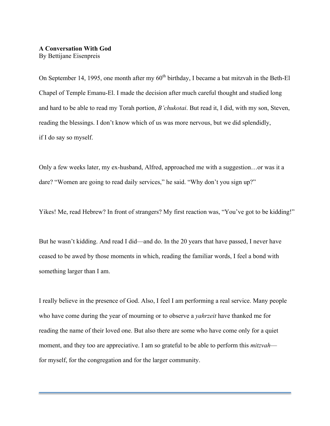## **A Conversation With God** By Bettijane Eisenpreis

On September 14, 1995, one month after my  $60<sup>th</sup>$  birthday, I became a bat mitzvah in the Beth-El Chapel of Temple Emanu-El. I made the decision after much careful thought and studied long and hard to be able to read my Torah portion, *B'chukotai*. But read it, I did, with my son, Steven, reading the blessings. I don't know which of us was more nervous, but we did splendidly, if I do say so myself.

Only a few weeks later, my ex-husband, Alfred, approached me with a suggestion…or was it a dare? "Women are going to read daily services," he said. "Why don't you sign up?"

Yikes! Me, read Hebrew? In front of strangers? My first reaction was, "You've got to be kidding!"

But he wasn't kidding. And read I did—and do. In the 20 years that have passed, I never have ceased to be awed by those moments in which, reading the familiar words, I feel a bond with something larger than I am.

I really believe in the presence of God. Also, I feel I am performing a real service. Many people who have come during the year of mourning or to observe a *yahrzeit* have thanked me for reading the name of their loved one. But also there are some who have come only for a quiet moment, and they too are appreciative. I am so grateful to be able to perform this *mitzvah* for myself, for the congregation and for the larger community.